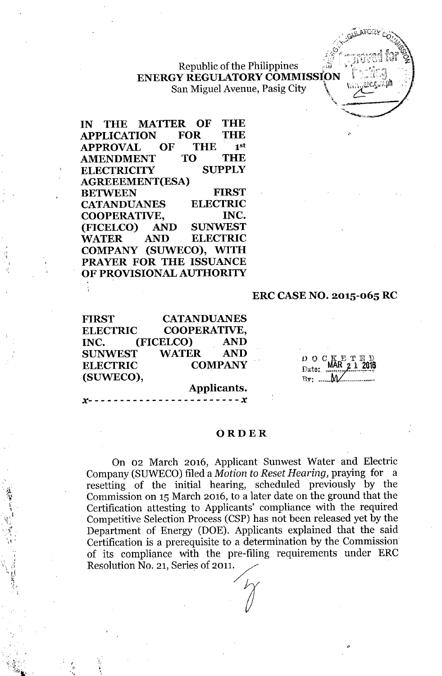**Republic of the Philippines ENERGY REGULATORY COMMISSION** San Miguel Avenue, Pasig City

**IN THE MATTER OF THE APPLICATION FOR THE APPROVAL OF THE** 1 1st  $AMENDMENT$ **ELECTRICITY SUPPLY AGREEEMENT(ESA) BETWEEN FIRST CATANDUANES ELECTRIC COOPERATIVE, INC. (FICELCO) AND SUNWEST WATER AND ELECTRIC COMPANY (SUWECO), WITH PRAYER FOR THE ISSUANCE OF PROVISIONAL AUTHORITY**

.' ,

 $\cdot$   $\frac{1}{2}$ ..;t;~ f, . I

 $\Lambda$   $\mathbf{t}$   $\mathbf{r}$ 

",

### **ERC CASE NO. 2015-065 RC**

**FIRST CATANDUANES ELECTRIC COOPERATIVE, INC. (FICELCO) AND SUNWEST WATER AND ELECTRIC COMPANY (SUWECO),**

DOC D<sub>ote:</sub> MAR 2 1 2016 131': .....•. ..........•••••••. ,

### $\chi$ ---------------------- $\chi$  .

**Applicants.**

#### **ORDER**

On 02 March 2016, Applicant Sunwest Water and Electric Company (SUWECO) filed a *Motion to Reset Hearing*, praying for a resetting of the initial hearing, scheduled previously by the Commission on 15 March 2016, to a later date on the ground that the Certification attesting to Applicants' compliance with the required Competitive Selection Process (CSP) has not been released yet by the Department of Energy (DOE). Applicants explained that the said Certification is a prerequisite to a determination by the Commission of its compliance with the pre-filing requirements under ERC Resolution No. 21, Series of 2011.  $\gamma$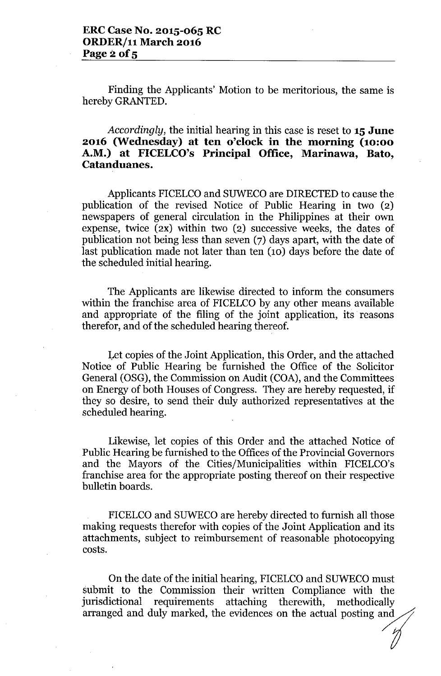Finding the Applicants' Motion to be meritorious, the same is hereby GRANTED.

# *Accordingly,* the initial hearing in this case is reset to **15 June 2016 (Wednesday) at ten o'clock in the morning (10:00 A.M.) at FICELCO's Principal Office, Marinawa, Bato, Catanduanes.**

Applicants FICELCO and SUWECO are DIRECTED to cause the publication of the revised Notice of Public Hearing in two (2) newspapers of general circulation in the Philippines at their own expense, twice (2X) within two (2) successive weeks, the dates of publication not being less than seven (7) days apart, with the date of last publication made not later than ten (10) days before the date of the scheduled initial hearing.

The Applicants are likewise directed to inform the consumers within the franchise area of FICELCO by any other means available and appropriate of the filing of the joint application, its reasons therefor, and of the scheduled hearing thereof.

Let copies of the Joint Application, this Order, and the attached Notice of Public Hearing be furnished the Office of the Solicitor General (OSG), the Commission on Audit (COA), and the Committees on Energy of both Houses of Congress. They are hereby requested, if they so desire, to send their duly authorized representatives at the scheduled hearing.

Likewise, let copies of this Order and the attached Notice of Public Hearing be furnished to the Offices of the Provincial Governors and the Mayors of the Cities/Municipalities within FICELCO's franchise area for the appropriate posting thereof on their respective bulletin boards.

FICELCO and SUWECO are hereby directed to furnish all those making requests therefor with copies of the Joint Application and its attachments, subject to reimbursement of reasonable photocopying costs.

On the date of the initial hearing, FICELCO and SUWECO must submit to the Commission their written Compliance with the jurisdictional requirements attaching therewith, methodically attachments, subject to reimbursement of reasonable photocopying<br>costs.<br>On the date of the initial hearing, FICELCO and SUWECO must<br>submit to the Commission their written Compliance with the<br>jurisdictional requirements att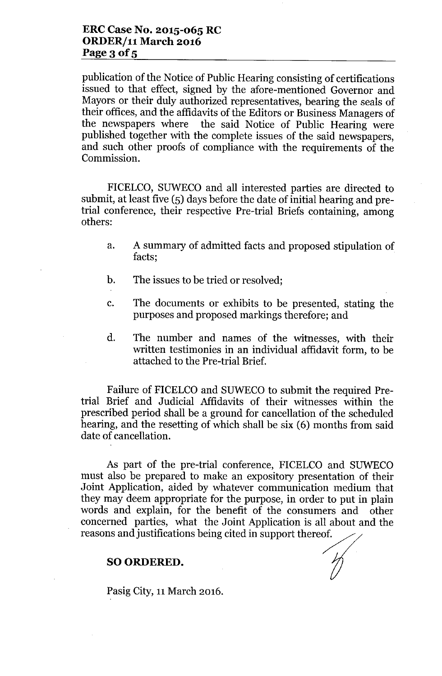publication of the Notice of Public Hearing consisting of certifications issued to that effect, signed by the afore-mentioned Governor and Mayors or their duly authorized representatives, bearing the seals of their offices, and the affidavits of the Editors or Business Managers of<br>the newspapers where the said Notice of Public Hearing were the said Notice of Public Hearing were published together with the complete issues of the said newspapers, and such other proofs of compliance with the requirements of the Commission.

FICELCO, SUWECO and all interested parties are directed to submit, at least five (5) days before the date of initial hearing and pretrial conference, their respective Pre-trial Briefs containing, among others:

- a. A summary of admitted facts and proposed stipulation of facts;
- b. The issues to be tried or resolved;
- c. The documents or exhibits to be presented, stating the purposes and proposed markings therefore; and
- d. The number and names of the witnesses, with their written testimonies in an individual affidavit form, to be attached to the Pre-trial Brief.

Failure of FICELCO and SUWECO to submit the required Pretrial Brief and Judicial Affidavits of their witnesses within the prescribed period shall be a ground for cancellation of the scheduled hearing, and the resetting of which shall be six (6) months from said date of cancellation.

As part of the pre-trial conference, FICELCO and SUWECO must also be prepared to make an expository presentation of their Joint Application, aided by whatever communication medium that they may deem appropriate for the purpose, in order to put in plain words and explain, for the benefit of the consumers and other concerned parties, what the Joint Application is all about and the reasons and justifications being cited in support thereof.

### SO ORDERED.

Pasig City, 11 March 2016.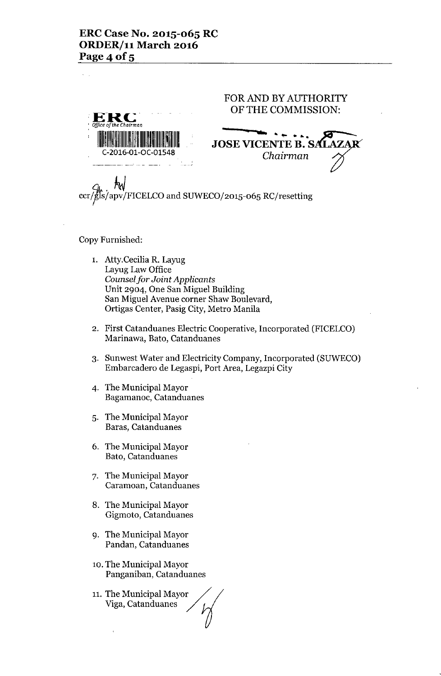

http://wiki/<br>ccr/gls/apv/FICELCO and SUWECO/2015-065 RC/resettin

### Copy Furnished:

- 1. Atty.Cecilia R. Layug Layug Law Office *Counsel for Joint Applicants* Unit 2904, One San Miguel Building San Miguel Avenue corner Shaw Boulevard, Ortigas Center, Pasig City, Metro Manila
- 2. First Catanduanes Electric Cooperative, Incorporated (FICELCO) Marinawa, Bato, Catanduanes
- 3. Sunwest Water and Electricity Company, Incorporated (SUWECO) Embarcadero de Legaspi, Port Area, Legazpi City
- 4. The Municipal Mayor Bagamanoc, Catanduanes
- 5. The Municipal Mayor Baras, Catanduanes
- 6. The Municipal Mayor Bato, Catanduanes
- 7. The Municipal Mayor Caramoan, Catanduanes
- 8. The Municipal Mayor Gigmoto, Catanduanes
- 9. The Municipal Mayor Pandan, Catanduanes
- 10. The Municipal Mayor Panganiban, Catanduanes
- 11. The Municipal Mayor Viga, Catanduanes